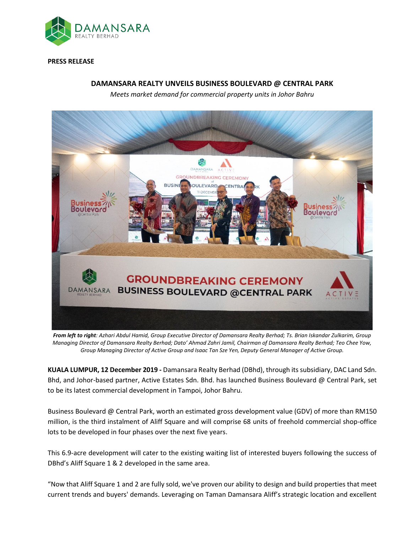

**PRESS RELEASE**

## **DAMANSARA REALTY UNVEILS BUSINESS BOULEVARD @ CENTRAL PARK**

*Meets market demand for commercial property units in Johor Bahru*



*From left to right: Azhari Abdul Hamid, Group Executive Director of Damansara Realty Berhad; Ts. Brian Iskandar Zulkarim, Group Managing Director of Damansara Realty Berhad; Dato' Ahmad Zahri Jamil, Chairman of Damansara Realty Berhad; Teo Chee Yow, Group Managing Director of Active Group and Isaac Tan Sze Yen, Deputy General Manager of Active Group.*

**KUALA LUMPUR, 12 December 2019 -** Damansara Realty Berhad (DBhd), through its subsidiary, DAC Land Sdn. Bhd, and Johor-based partner, Active Estates Sdn. Bhd. has launched Business Boulevard @ Central Park, set to be its latest commercial development in Tampoi, Johor Bahru.

Business Boulevard @ Central Park, worth an estimated gross development value (GDV) of more than RM150 million, is the third instalment of Aliff Square and will comprise 68 units of freehold commercial shop-office lots to be developed in four phases over the next five years.

This 6.9-acre development will cater to the existing waiting list of interested buyers following the success of DBhd's Aliff Square 1 & 2 developed in the same area.

"Now that Aliff Square 1 and 2 are fully sold, we've proven our ability to design and build properties that meet current trends and buyers' demands. Leveraging on Taman Damansara Aliff's strategic location and excellent